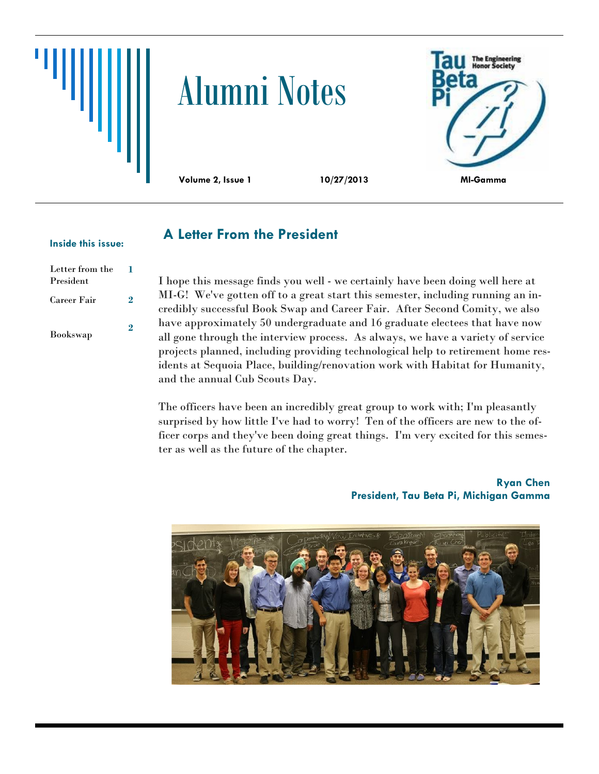

# Alumni Notes



#### **Inside this issue: A Letter From the President**

### Letter from the President **1** Career Fair **2** Bookswap **2**

I hope this message finds you well - we certainly have been doing well here at MI-G! We've gotten off to a great start this semester, including running an incredibly successful Book Swap and Career Fair. After Second Comity, we also have approximately 50 undergraduate and 16 graduate electees that have now all gone through the interview process. As always, we have a variety of service projects planned, including providing technological help to retirement home residents at Sequoia Place, building/renovation work with Habitat for Humanity, and the annual Cub Scouts Day.

The officers have been an incredibly great group to work with; I'm pleasantly surprised by how little I've had to worry! Ten of the officers are new to the officer corps and they've been doing great things. I'm very excited for this semester as well as the future of the chapter.

> **Ryan Chen President, Tau Beta Pi, Michigan Gamma**